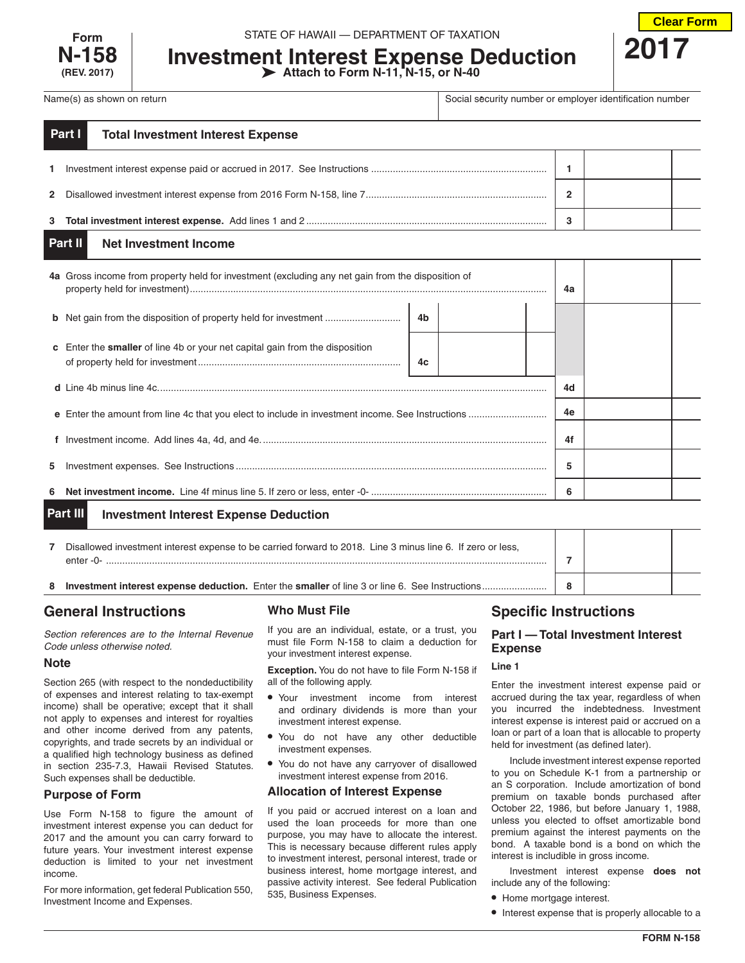

## STATE OF HAWAII — DEPARTMENT OF TAXATION

# **Investment Interest Expense Deduction Attach to Form N-11, N-15, or N-40**



Name(s) as shown on return **Social security number or employer identification number** or employer identification number

|              | Part I<br><b>Total Investment Interest Expense</b> |   |  |
|--------------|----------------------------------------------------|---|--|
| $\mathbf{1}$ |                                                    |   |  |
|              |                                                    | ົ |  |
|              |                                                    | o |  |

#### **Net Investment Income Part II**

|                                                          | 4a Gross income from property held for investment (excluding any net gain from the disposition of |    |  | 4a |    |  |  |
|----------------------------------------------------------|---------------------------------------------------------------------------------------------------|----|--|----|----|--|--|
|                                                          |                                                                                                   | 4b |  |    |    |  |  |
|                                                          | <b>c</b> Enter the <b>smaller</b> of line 4b or your net capital gain from the disposition        | 4c |  |    |    |  |  |
|                                                          |                                                                                                   |    |  |    | 4d |  |  |
|                                                          |                                                                                                   |    |  |    | 4e |  |  |
|                                                          |                                                                                                   |    |  |    | 4f |  |  |
| 5.                                                       |                                                                                                   |    |  |    | 5  |  |  |
| 6                                                        |                                                                                                   |    |  | 6  |    |  |  |
| Part III<br><b>Investment Interest Expense Deduction</b> |                                                                                                   |    |  |    |    |  |  |

| Disallowed investment interest expense to be carried forward to 2018. Line 3 minus line 6. If zero or less,<br>enter -0- |  |  |
|--------------------------------------------------------------------------------------------------------------------------|--|--|
|                                                                                                                          |  |  |

# **General Instructions**

*Section references are to the Internal Revenue Code unless otherwise noted.*

# **Note**

Section 265 (with respect to the nondeductibility of expenses and interest relating to tax-exempt income) shall be operative; except that it shall not apply to expenses and interest for royalties and other income derived from any patents, copyrights, and trade secrets by an individual or a qualified high technology business as defined in section 235-7.3, Hawaii Revised Statutes. Such expenses shall be deductible.

# **Purpose of Form**

Use Form N-158 to figure the amount of investment interest expense you can deduct for 2017 and the amount you can carry forward to future years. Your investment interest expense deduction is limited to your net investment income.

For more information, get federal Publication 550, Investment Income and Expenses.

# **Who Must File**

If you are an individual, estate, or a trust, you must file Form N-158 to claim a deduction for your investment interest expense.

**Exception.** You do not have to file Form N-158 if all of the following apply.

- Your investment income from interest and ordinary dividends is more than your investment interest expense.
- You do not have any other deductible investment expenses.
- You do not have any carryover of disallowed investment interest expense from 2016.

# **Allocation of Interest Expense**

If you paid or accrued interest on a loan and used the loan proceeds for more than one purpose, you may have to allocate the interest. This is necessary because different rules apply to investment interest, personal interest, trade or business interest, home mortgage interest, and passive activity interest. See federal Publication 535, Business Expenses.

# **Specific Instructions**

# **Part I — Total Investment Interest Expense**

# **Line 1**

Enter the investment interest expense paid or accrued during the tax year, regardless of when you incurred the indebtedness. Investment interest expense is interest paid or accrued on a loan or part of a loan that is allocable to property held for investment (as defined later).

Include investment interest expense reported to you on Schedule K-1 from a partnership or an S corporation. Include amortization of bond premium on taxable bonds purchased after October 22, 1986, but before January 1, 1988, unless you elected to offset amortizable bond premium against the interest payments on the bond. A taxable bond is a bond on which the interest is includible in gross income.

Investment interest expense **does not** include any of the following:

- Home mortgage interest.
- Interest expense that is properly allocable to a